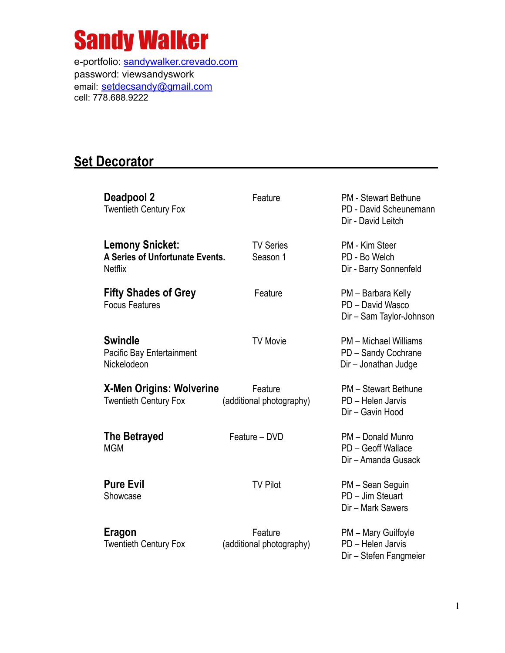

e-portfolio: [sandywalker.crevado.com](http://sandywalker.crevado.com) password: viewsandyswork email: [setdecsandy@gmail.com](mailto:setdecsandy@gmail.com) cell: 778.688.9222

## **Set Decorator**

| Deadpool 2<br><b>Twentieth Century Fox</b>                                  | Feature                             | <b>PM</b> - Stewart Bethune<br>PD - David Scheunemann<br>Dir - David Leitch |
|-----------------------------------------------------------------------------|-------------------------------------|-----------------------------------------------------------------------------|
| <b>Lemony Snicket:</b><br>A Series of Unfortunate Events.<br><b>Netflix</b> | <b>TV Series</b><br>Season 1        | PM - Kim Steer<br>PD - Bo Welch<br>Dir - Barry Sonnenfeld                   |
| <b>Fifty Shades of Grey</b><br><b>Focus Features</b>                        | Feature                             | PM - Barbara Kelly<br>PD - David Wasco<br>Dir - Sam Taylor-Johnson          |
| <b>Swindle</b><br>Pacific Bay Entertainment<br>Nickelodeon                  | <b>TV Movie</b>                     | <b>PM</b> – Michael Williams<br>PD - Sandy Cochrane<br>Dir - Jonathan Judge |
| <b>X-Men Origins: Wolverine</b><br><b>Twentieth Century Fox</b>             | Feature<br>(additional photography) | PM - Stewart Bethune<br>PD - Helen Jarvis<br>Dir - Gavin Hood               |
| <b>The Betrayed</b><br><b>MGM</b>                                           | Feature - DVD                       | PM - Donald Munro<br>PD - Geoff Wallace<br>Dir - Amanda Gusack              |
| <b>Pure Evil</b><br>Showcase                                                | <b>TV Pilot</b>                     | PM - Sean Seguin<br>PD - Jim Steuart<br>Dir - Mark Sawers                   |
| Eragon<br><b>Twentieth Century Fox</b>                                      | Feature<br>(additional photography) | PM - Mary Guilfoyle<br>PD - Helen Jarvis<br>Dir - Stefen Fangmeier          |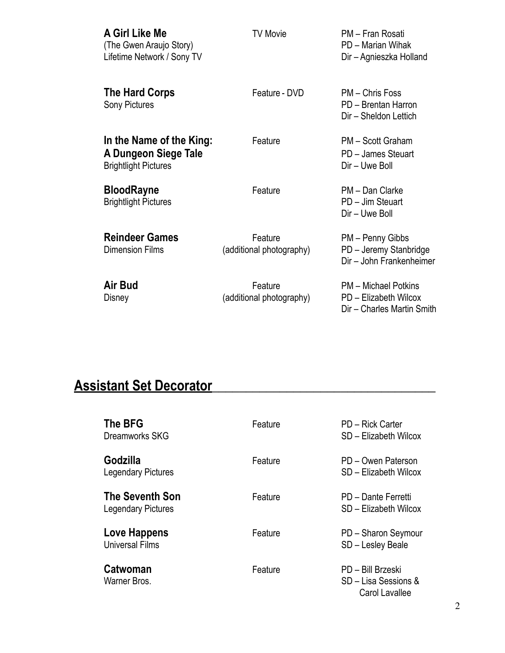| A Girl Like Me<br>(The Gwen Araujo Story)<br>Lifetime Network / Sony TV         | <b>TV Movie</b>                     | PM - Fran Rosati<br>PD - Marian Wihak<br>Dir - Agnieszka Holland            |
|---------------------------------------------------------------------------------|-------------------------------------|-----------------------------------------------------------------------------|
| The Hard Corps<br><b>Sony Pictures</b>                                          | Feature - DVD                       | PM - Chris Foss<br>PD - Brentan Harron<br>Dir - Sheldon Lettich             |
| In the Name of the King:<br>A Dungeon Siege Tale<br><b>Brightlight Pictures</b> | Feature                             | PM - Scott Graham<br>PD - James Steuart<br>Dir - Uwe Boll                   |
| <b>BloodRayne</b><br><b>Brightlight Pictures</b>                                | Feature                             | PM - Dan Clarke<br>PD - Jim Steuart<br>Dir - Uwe Boll                       |
| <b>Reindeer Games</b><br><b>Dimension Films</b>                                 | Feature<br>(additional photography) | PM - Penny Gibbs<br>PD - Jeremy Stanbridge<br>Dir - John Frankenheimer      |
| <b>Air Bud</b><br>Disney                                                        | Feature<br>(additional photography) | PM - Michael Potkins<br>PD - Elizabeth Wilcox<br>Dir - Charles Martin Smith |

## **Assistant Set Decorator\_\_\_\_\_\_\_\_\_\_\_\_\_\_\_\_\_\_\_\_\_\_\_\_\_\_\_\_\_\_\_\_\_**

| <b>The BFG</b><br>Dreamworks SKG                    | Feature | PD - Rick Carter<br>SD - Elizabeth Wilcox                   |
|-----------------------------------------------------|---------|-------------------------------------------------------------|
| Godzilla<br><b>Legendary Pictures</b>               | Feature | PD - Owen Paterson<br>SD - Elizabeth Wilcox                 |
| <b>The Seventh Son</b><br><b>Legendary Pictures</b> | Feature | PD - Dante Ferretti<br>SD – Elizabeth Wilcox                |
| Love Happens<br>Universal Films                     | Feature | PD - Sharon Seymour<br>SD - Lesley Beale                    |
| <b>Catwoman</b><br>Warner Bros.                     | Feature | PD - Bill Brzeski<br>SD - Lisa Sessions &<br>Carol Lavallee |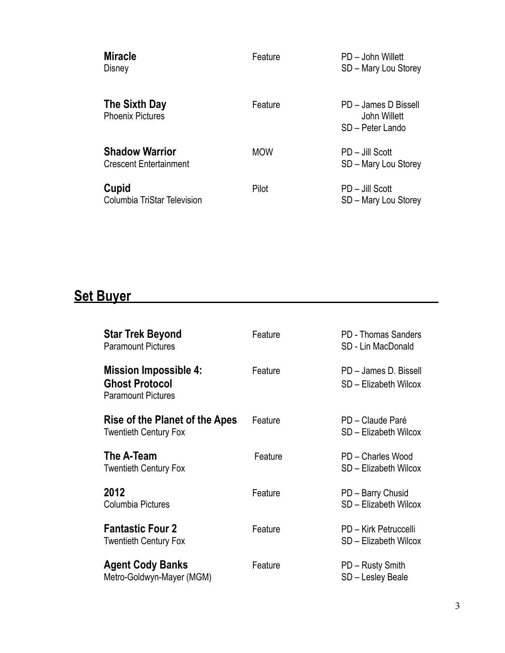| <b>Miracle</b><br>Disney                               | Feature    | PD – John Willett<br>SD - Mary Lou Storey                |
|--------------------------------------------------------|------------|----------------------------------------------------------|
| The Sixth Day<br><b>Phoenix Pictures</b>               | Feature    | PD - James D Bissell<br>John Willett<br>SD - Peter Lando |
| <b>Shadow Warrior</b><br><b>Crescent Entertainment</b> | <b>MOW</b> | PD - Jill Scott<br>SD - Mary Lou Storey                  |
| Cupid<br>Columbia TriStar Television                   | Pilot      | PD - Jill Scott<br>SD - Mary Lou Storey                  |

## **Set Buyer\_\_\_\_\_\_\_\_\_\_\_\_\_\_\_\_\_\_\_\_\_\_\_\_\_\_\_\_\_\_\_\_\_\_\_\_\_\_\_\_\_\_\_\_\_\_\_\_\_\_\_**

| <b>Star Trek Beyond</b><br><b>Paramount Pictures</b>                               | Feature | <b>PD - Thomas Sanders</b><br>SD - Lin MacDonald |
|------------------------------------------------------------------------------------|---------|--------------------------------------------------|
| <b>Mission Impossible 4:</b><br><b>Ghost Protocol</b><br><b>Paramount Pictures</b> | Feature | PD - James D. Bissell<br>SD - Elizabeth Wilcox   |
| Rise of the Planet of the Apes<br><b>Twentieth Century Fox</b>                     | Feature | PD - Claude Paré<br>SD - Elizabeth Wilcox        |
| The A-Team<br><b>Twentieth Century Fox</b>                                         | Feature | PD - Charles Wood<br>SD - Elizabeth Wilcox       |
| 2012<br>Columbia Pictures                                                          | Feature | PD - Barry Chusid<br>SD - Elizabeth Wilcox       |
| <b>Fantastic Four 2</b><br><b>Twentieth Century Fox</b>                            | Feature | PD - Kirk Petruccelli<br>SD - Elizabeth Wilcox   |
| <b>Agent Cody Banks</b><br>Metro-Goldwyn-Mayer (MGM)                               | Feature | PD - Rusty Smith<br>SD - Lesley Beale            |